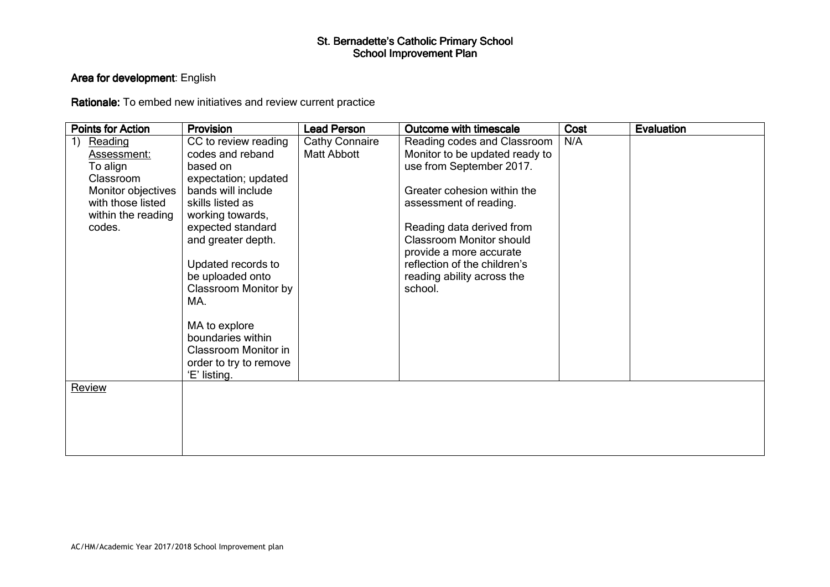### Area for development: English

Rationale: To embed new initiatives and review current practice

| <b>Points for Action</b>                                                                                                         | <b>Provision</b>                                                                                                                                                                                                                                                                                                                                                              | <b>Lead Person</b>                   | <b>Outcome with timescale</b>                                                                                                                                                                                                                                                                                          | Cost | <b>Evaluation</b> |
|----------------------------------------------------------------------------------------------------------------------------------|-------------------------------------------------------------------------------------------------------------------------------------------------------------------------------------------------------------------------------------------------------------------------------------------------------------------------------------------------------------------------------|--------------------------------------|------------------------------------------------------------------------------------------------------------------------------------------------------------------------------------------------------------------------------------------------------------------------------------------------------------------------|------|-------------------|
| 1)<br>Reading<br>Assessment:<br>To align<br>Classroom<br>Monitor objectives<br>with those listed<br>within the reading<br>codes. | CC to review reading<br>codes and reband<br>based on<br>expectation; updated<br>bands will include<br>skills listed as<br>working towards,<br>expected standard<br>and greater depth.<br>Updated records to<br>be uploaded onto<br><b>Classroom Monitor by</b><br>MA.<br>MA to explore<br>boundaries within<br>Classroom Monitor in<br>order to try to remove<br>'E' listing. | Cathy Connaire<br><b>Matt Abbott</b> | Reading codes and Classroom<br>Monitor to be updated ready to<br>use from September 2017.<br>Greater cohesion within the<br>assessment of reading.<br>Reading data derived from<br><b>Classroom Monitor should</b><br>provide a more accurate<br>reflection of the children's<br>reading ability across the<br>school. | N/A  |                   |
| Review                                                                                                                           |                                                                                                                                                                                                                                                                                                                                                                               |                                      |                                                                                                                                                                                                                                                                                                                        |      |                   |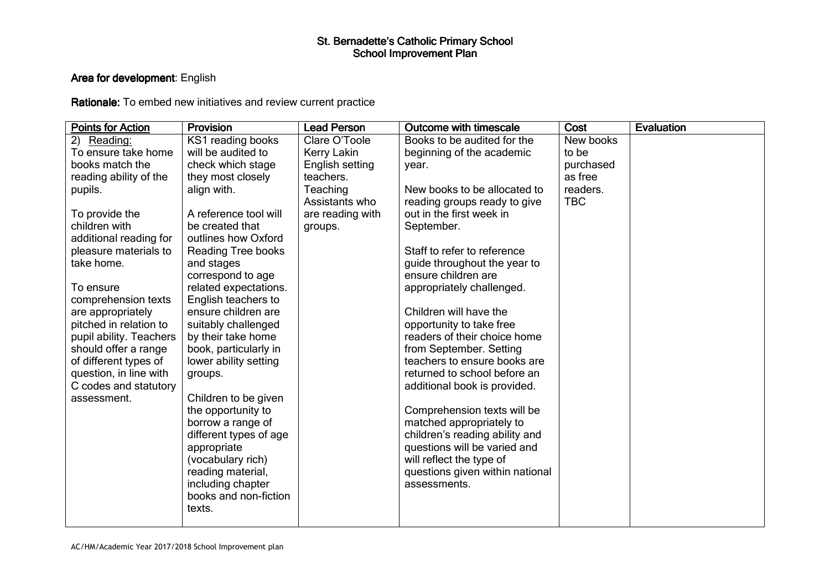### Area for development: English

Rationale: To embed new initiatives and review current practice

| <b>Points for Action</b> | Provision                                  | <b>Lead Person</b> | Outcome with timescale          | Cost       | <b>Evaluation</b> |
|--------------------------|--------------------------------------------|--------------------|---------------------------------|------------|-------------------|
| 2)<br>Reading:           | KS1 reading books                          | Clare O'Toole      | Books to be audited for the     | New books  |                   |
| To ensure take home      | will be audited to                         | Kerry Lakin        | beginning of the academic       | to be      |                   |
| books match the          | check which stage                          | English setting    | year.                           | purchased  |                   |
| reading ability of the   | they most closely                          | teachers.          |                                 | as free    |                   |
| pupils.                  | align with.                                | Teaching           | New books to be allocated to    | readers.   |                   |
|                          |                                            | Assistants who     | reading groups ready to give    | <b>TBC</b> |                   |
| To provide the           | A reference tool will                      | are reading with   | out in the first week in        |            |                   |
| children with            | be created that                            | groups.            | September.                      |            |                   |
| additional reading for   | outlines how Oxford                        |                    |                                 |            |                   |
| pleasure materials to    | Reading Tree books                         |                    | Staff to refer to reference     |            |                   |
| take home.               | and stages                                 |                    | guide throughout the year to    |            |                   |
|                          | correspond to age                          |                    | ensure children are             |            |                   |
| To ensure                | related expectations.                      |                    | appropriately challenged.       |            |                   |
| comprehension texts      | English teachers to                        |                    |                                 |            |                   |
| are appropriately        | ensure children are                        |                    | Children will have the          |            |                   |
| pitched in relation to   | suitably challenged                        |                    | opportunity to take free        |            |                   |
| pupil ability. Teachers  | by their take home                         |                    | readers of their choice home    |            |                   |
| should offer a range     | book, particularly in                      |                    | from September. Setting         |            |                   |
| of different types of    | lower ability setting                      |                    | teachers to ensure books are    |            |                   |
| question, in line with   | groups.                                    |                    | returned to school before an    |            |                   |
| C codes and statutory    |                                            |                    | additional book is provided.    |            |                   |
| assessment.              | Children to be given                       |                    |                                 |            |                   |
|                          | the opportunity to                         |                    | Comprehension texts will be     |            |                   |
|                          | borrow a range of                          |                    | matched appropriately to        |            |                   |
|                          | different types of age                     |                    | children's reading ability and  |            |                   |
|                          | appropriate                                |                    | questions will be varied and    |            |                   |
|                          | (vocabulary rich)                          |                    | will reflect the type of        |            |                   |
|                          | reading material,                          |                    | questions given within national |            |                   |
|                          | including chapter<br>books and non-fiction |                    | assessments.                    |            |                   |
|                          | texts.                                     |                    |                                 |            |                   |
|                          |                                            |                    |                                 |            |                   |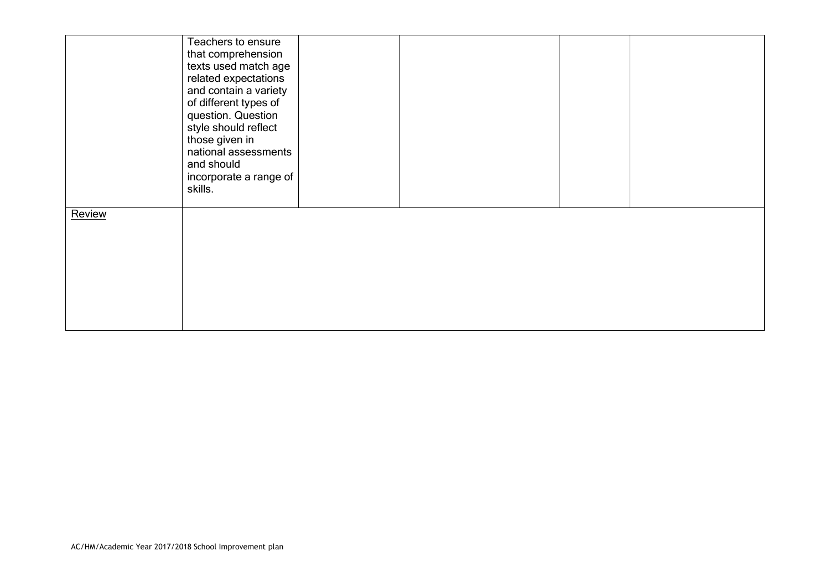|        | Teachers to ensure<br>that comprehension<br>texts used match age<br>related expectations<br>and contain a variety<br>of different types of<br>question. Question<br>style should reflect<br>those given in<br>national assessments<br>and should<br>incorporate a range of<br>skills. |  |  |
|--------|---------------------------------------------------------------------------------------------------------------------------------------------------------------------------------------------------------------------------------------------------------------------------------------|--|--|
| Review |                                                                                                                                                                                                                                                                                       |  |  |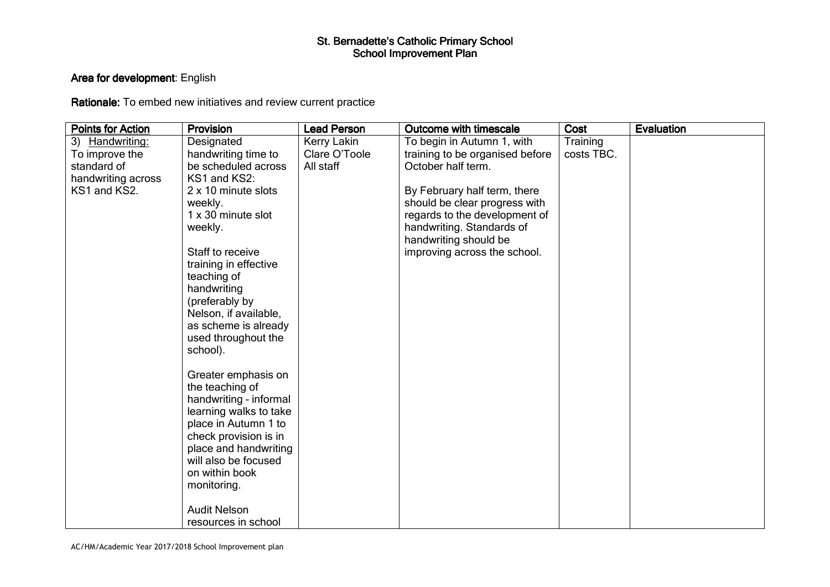### Area for development: English

Rationale: To embed new initiatives and review current practice

| <b>Points for Action</b> | Provision                                     | <b>Lead Person</b> | <b>Outcome with timescale</b>                         | Cost       | <b>Evaluation</b> |
|--------------------------|-----------------------------------------------|--------------------|-------------------------------------------------------|------------|-------------------|
| 3) Handwriting:          | Designated                                    | Kerry Lakin        | To begin in Autumn 1, with                            | Training   |                   |
| To improve the           | handwriting time to                           | Clare O'Toole      | training to be organised before                       | costs TBC. |                   |
| standard of              | be scheduled across                           | All staff          | October half term.                                    |            |                   |
| handwriting across       | KS1 and KS2:                                  |                    |                                                       |            |                   |
| KS1 and KS2.             | 2 x 10 minute slots                           |                    | By February half term, there                          |            |                   |
|                          | weekly.                                       |                    | should be clear progress with                         |            |                   |
|                          | 1 x 30 minute slot                            |                    | regards to the development of                         |            |                   |
|                          | weekly.                                       |                    | handwriting. Standards of                             |            |                   |
|                          | Staff to receive                              |                    | handwriting should be<br>improving across the school. |            |                   |
|                          | training in effective                         |                    |                                                       |            |                   |
|                          | teaching of                                   |                    |                                                       |            |                   |
|                          | handwriting                                   |                    |                                                       |            |                   |
|                          | (preferably by                                |                    |                                                       |            |                   |
|                          | Nelson, if available,                         |                    |                                                       |            |                   |
|                          | as scheme is already                          |                    |                                                       |            |                   |
|                          | used throughout the                           |                    |                                                       |            |                   |
|                          | school).                                      |                    |                                                       |            |                   |
|                          |                                               |                    |                                                       |            |                   |
|                          | Greater emphasis on                           |                    |                                                       |            |                   |
|                          | the teaching of                               |                    |                                                       |            |                   |
|                          | handwriting - informal                        |                    |                                                       |            |                   |
|                          | learning walks to take                        |                    |                                                       |            |                   |
|                          | place in Autumn 1 to<br>check provision is in |                    |                                                       |            |                   |
|                          | place and handwriting                         |                    |                                                       |            |                   |
|                          | will also be focused                          |                    |                                                       |            |                   |
|                          | on within book                                |                    |                                                       |            |                   |
|                          | monitoring.                                   |                    |                                                       |            |                   |
|                          |                                               |                    |                                                       |            |                   |
|                          | <b>Audit Nelson</b>                           |                    |                                                       |            |                   |
|                          | resources in school                           |                    |                                                       |            |                   |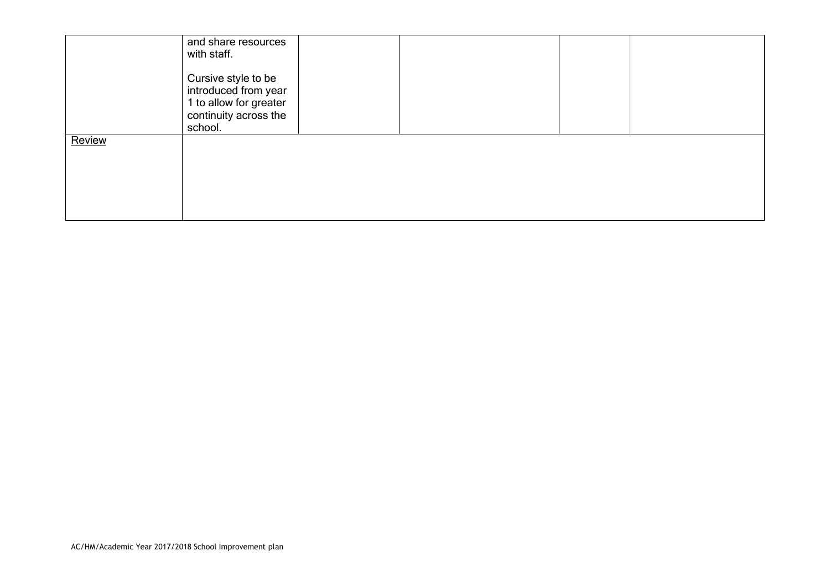|        | and share resources<br>with staff.<br>Cursive style to be<br>introduced from year<br>1 to allow for greater<br>continuity across the<br>school. |  |  |
|--------|-------------------------------------------------------------------------------------------------------------------------------------------------|--|--|
| Review |                                                                                                                                                 |  |  |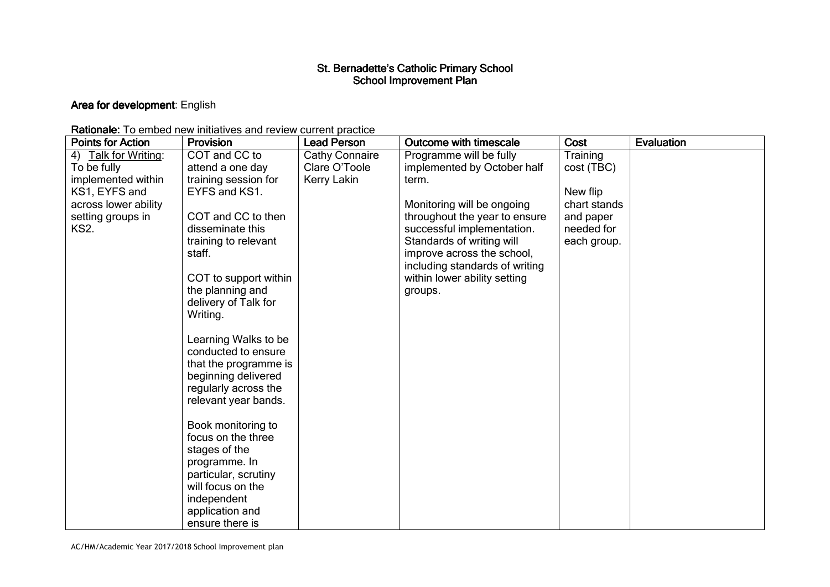### **Area for development**: English

| <b>Rationale:</b> To embed new initiatives and review current practice |  |
|------------------------------------------------------------------------|--|
|------------------------------------------------------------------------|--|

| <b>Points for Action</b> | <b>Provision</b>                                                                                                                            | <b>Lead Person</b>    | Outcome with timescale         | Cost         | <b>Evaluation</b> |
|--------------------------|---------------------------------------------------------------------------------------------------------------------------------------------|-----------------------|--------------------------------|--------------|-------------------|
| 4) Talk for Writing:     | COT and CC to                                                                                                                               | <b>Cathy Connaire</b> | Programme will be fully        | Training     |                   |
| To be fully              | attend a one day                                                                                                                            | Clare O'Toole         | implemented by October half    | cost (TBC)   |                   |
| implemented within       | training session for                                                                                                                        | Kerry Lakin           | term.                          |              |                   |
| KS1, EYFS and            | EYFS and KS1.                                                                                                                               |                       |                                | New flip     |                   |
| across lower ability     |                                                                                                                                             |                       | Monitoring will be ongoing     | chart stands |                   |
| setting groups in        | COT and CC to then                                                                                                                          |                       | throughout the year to ensure  | and paper    |                   |
| <b>KS2.</b>              | disseminate this                                                                                                                            |                       | successful implementation.     | needed for   |                   |
|                          | training to relevant                                                                                                                        |                       | Standards of writing will      | each group.  |                   |
|                          | staff.                                                                                                                                      |                       | improve across the school,     |              |                   |
|                          |                                                                                                                                             |                       | including standards of writing |              |                   |
|                          | COT to support within                                                                                                                       |                       | within lower ability setting   |              |                   |
|                          | the planning and                                                                                                                            |                       | groups.                        |              |                   |
|                          | delivery of Talk for                                                                                                                        |                       |                                |              |                   |
|                          | Writing.                                                                                                                                    |                       |                                |              |                   |
|                          | Learning Walks to be<br>conducted to ensure<br>that the programme is<br>beginning delivered<br>regularly across the<br>relevant year bands. |                       |                                |              |                   |
|                          | Book monitoring to                                                                                                                          |                       |                                |              |                   |
|                          | focus on the three                                                                                                                          |                       |                                |              |                   |
|                          | stages of the                                                                                                                               |                       |                                |              |                   |
|                          | programme. In                                                                                                                               |                       |                                |              |                   |
|                          | particular, scrutiny                                                                                                                        |                       |                                |              |                   |
|                          | will focus on the                                                                                                                           |                       |                                |              |                   |
|                          | independent                                                                                                                                 |                       |                                |              |                   |
|                          | application and                                                                                                                             |                       |                                |              |                   |
|                          | ensure there is                                                                                                                             |                       |                                |              |                   |